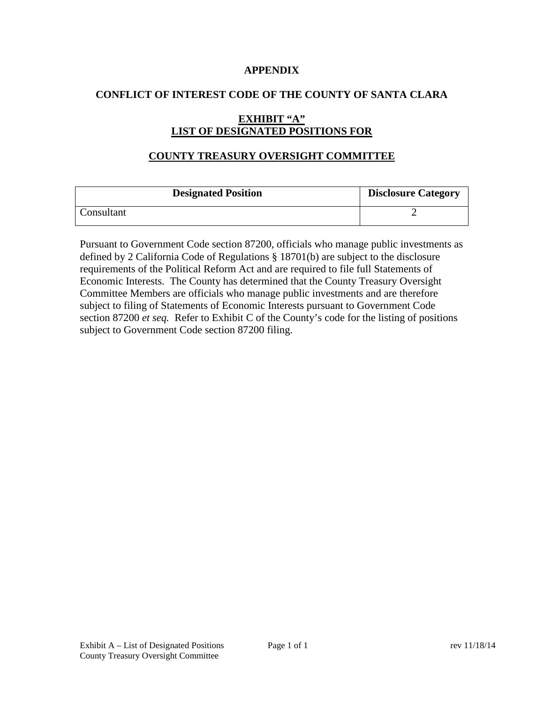#### **APPENDIX**

#### **CONFLICT OF INTEREST CODE OF THE COUNTY OF SANTA CLARA**

# **EXHIBIT "A" LIST OF DESIGNATED POSITIONS FOR**

#### **COUNTY TREASURY OVERSIGHT COMMITTEE**

| <b>Designated Position</b> | <b>Disclosure Category</b> |
|----------------------------|----------------------------|
| Consultant                 |                            |

Pursuant to Government Code section 87200, officials who manage public investments as defined by 2 California Code of Regulations § 18701(b) are subject to the disclosure requirements of the Political Reform Act and are required to file full Statements of Economic Interests. The County has determined that the County Treasury Oversight Committee Members are officials who manage public investments and are therefore subject to filing of Statements of Economic Interests pursuant to Government Code section 87200 *et seq.* Refer to Exhibit C of the County's code for the listing of positions subject to Government Code section 87200 filing.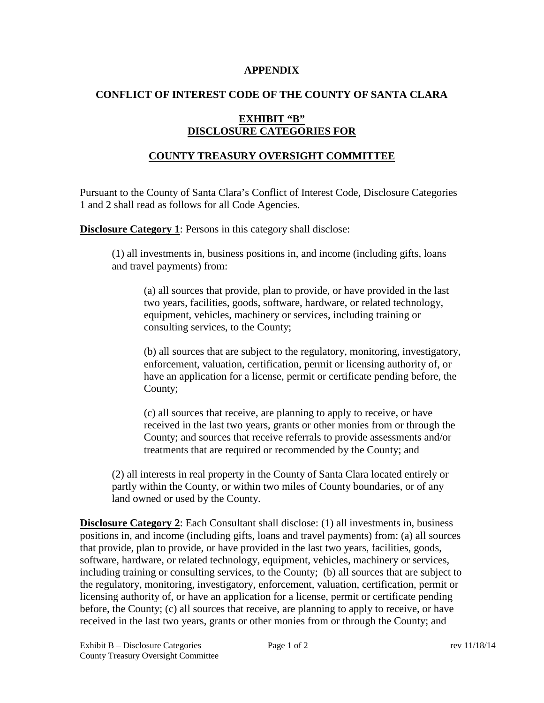#### **APPENDIX**

### **CONFLICT OF INTEREST CODE OF THE COUNTY OF SANTA CLARA**

## **EXHIBIT "B" DISCLOSURE CATEGORIES FOR**

## **COUNTY TREASURY OVERSIGHT COMMITTEE**

Pursuant to the County of Santa Clara's Conflict of Interest Code, Disclosure Categories 1 and 2 shall read as follows for all Code Agencies.

**Disclosure Category 1:** Persons in this category shall disclose:

(1) all investments in, business positions in, and income (including gifts, loans and travel payments) from:

(a) all sources that provide, plan to provide, or have provided in the last two years, facilities, goods, software, hardware, or related technology, equipment, vehicles, machinery or services, including training or consulting services, to the County;

(b) all sources that are subject to the regulatory, monitoring, investigatory, enforcement, valuation, certification, permit or licensing authority of, or have an application for a license, permit or certificate pending before, the County;

(c) all sources that receive, are planning to apply to receive, or have received in the last two years, grants or other monies from or through the County; and sources that receive referrals to provide assessments and/or treatments that are required or recommended by the County; and

(2) all interests in real property in the County of Santa Clara located entirely or partly within the County, or within two miles of County boundaries, or of any land owned or used by the County.

**Disclosure Category 2:** Each Consultant shall disclose: (1) all investments in, business positions in, and income (including gifts, loans and travel payments) from: (a) all sources that provide, plan to provide, or have provided in the last two years, facilities, goods, software, hardware, or related technology, equipment, vehicles, machinery or services, including training or consulting services, to the County; (b) all sources that are subject to the regulatory, monitoring, investigatory, enforcement, valuation, certification, permit or licensing authority of, or have an application for a license, permit or certificate pending before, the County; (c) all sources that receive, are planning to apply to receive, or have received in the last two years, grants or other monies from or through the County; and